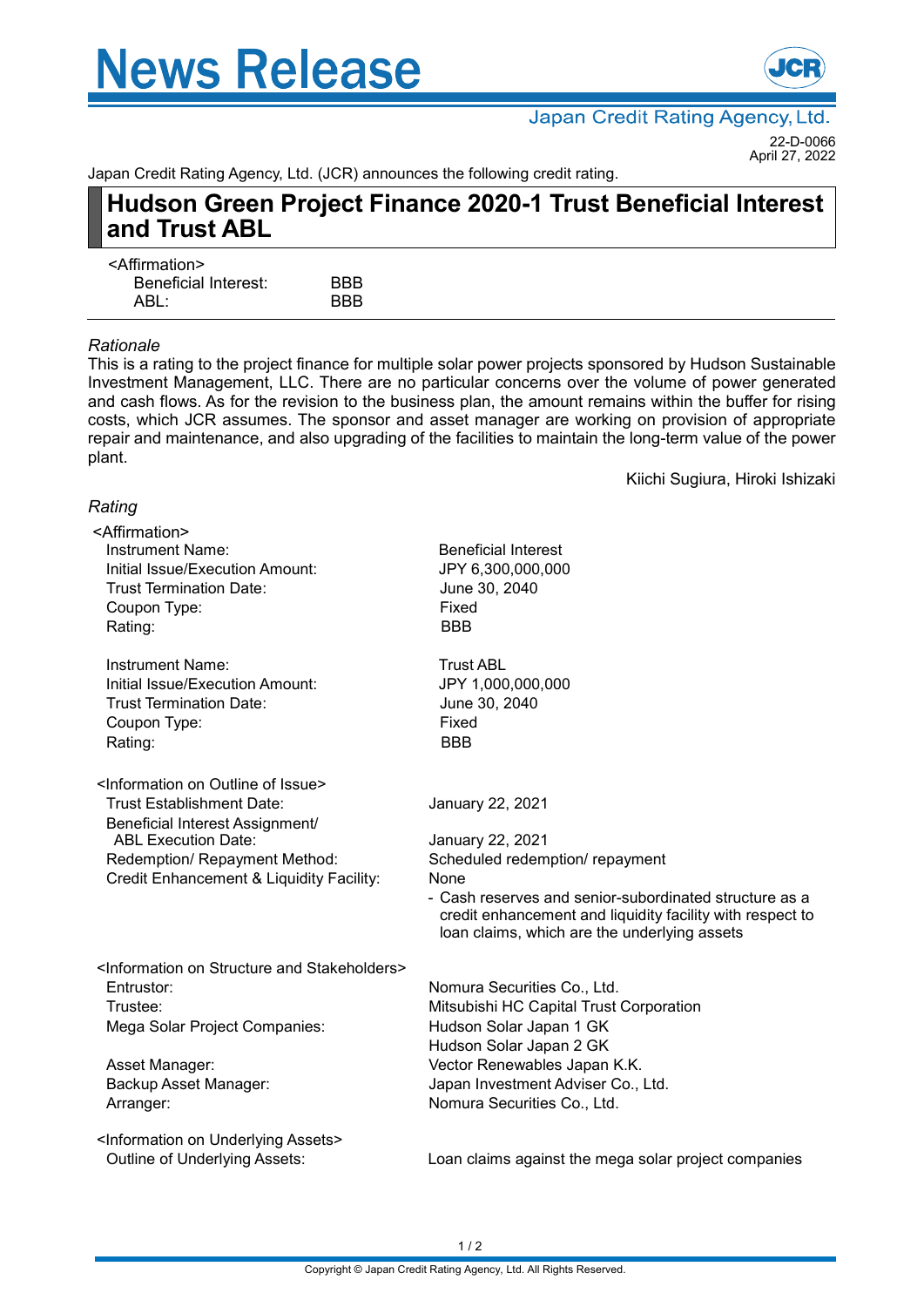# **News Release**



Japan Credit Rating Agency, Ltd. 22-D-0066

April 27, 2022

Kiichi Sugiura, Hiroki Ishizaki

Japan Credit Rating Agency, Ltd. (JCR) announces the following credit rating.

## **Hudson Green Project Finance 2020-1 Trust Beneficial Interest and Trust ABL**

| <b>BBB</b> |
|------------|
| <b>BBB</b> |
|            |

#### *Rationale*

This is a rating to the project finance for multiple solar power projects sponsored by Hudson Sustainable Investment Management, LLC. There are no particular concerns over the volume of power generated and cash flows. As for the revision to the business plan, the amount remains within the buffer for rising costs, which JCR assumes. The sponsor and asset manager are working on provision of appropriate repair and maintenance, and also upgrading of the facilities to maintain the long-term value of the power plant.

### *Rating*

| <affirmation></affirmation>                                           |                                                                                                           |
|-----------------------------------------------------------------------|-----------------------------------------------------------------------------------------------------------|
| <b>Instrument Name:</b>                                               | <b>Beneficial Interest</b>                                                                                |
| Initial Issue/Execution Amount:                                       | JPY 6,300,000,000                                                                                         |
| <b>Trust Termination Date:</b>                                        | June 30, 2040                                                                                             |
| Coupon Type:                                                          | Fixed                                                                                                     |
| Rating:                                                               | <b>BBB</b>                                                                                                |
| Instrument Name:                                                      | <b>Trust ABL</b>                                                                                          |
| Initial Issue/Execution Amount:                                       | JPY 1,000,000,000                                                                                         |
| <b>Trust Termination Date:</b>                                        | June 30, 2040                                                                                             |
| Coupon Type:                                                          | Fixed                                                                                                     |
| Rating:                                                               | <b>BBB</b>                                                                                                |
| <information issue="" of="" on="" outline=""></information>           |                                                                                                           |
| <b>Trust Establishment Date:</b>                                      | January 22, 2021                                                                                          |
| Beneficial Interest Assignment/<br><b>ABL Execution Date:</b>         | January 22, 2021                                                                                          |
| Redemption/ Repayment Method:                                         | Scheduled redemption/ repayment                                                                           |
| Credit Enhancement & Liquidity Facility:                              | None                                                                                                      |
|                                                                       | - Cash reserves and senior-subordinated structure as a                                                    |
|                                                                       | credit enhancement and liquidity facility with respect to<br>loan claims, which are the underlying assets |
| <information and="" on="" stakeholders="" structure=""></information> |                                                                                                           |
| Entrustor:                                                            | Nomura Securities Co., Ltd.                                                                               |
| Trustee:                                                              | Mitsubishi HC Capital Trust Corporation                                                                   |
| Mega Solar Project Companies:                                         | Hudson Solar Japan 1 GK                                                                                   |
|                                                                       | Hudson Solar Japan 2 GK                                                                                   |
| Asset Manager:                                                        | Vector Renewables Japan K.K.                                                                              |
| Backup Asset Manager:                                                 | Japan Investment Adviser Co., Ltd.                                                                        |
| Arranger:                                                             | Nomura Securities Co., Ltd.                                                                               |
| <information assets="" on="" underlying=""></information>             |                                                                                                           |
| Outline of Underlying Assets:                                         | Loan claims against the mega solar project companies                                                      |